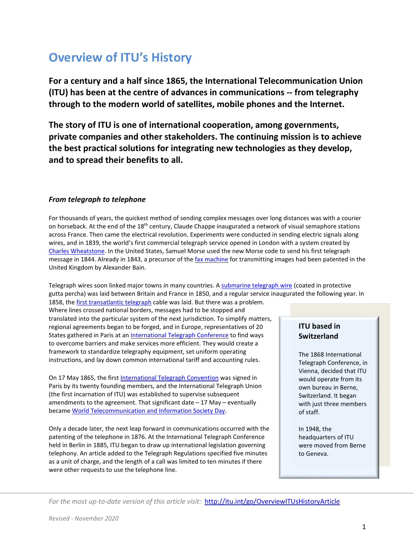# **Overview of ITU's History**

**For a century and a half since 1865, the International Telecommunication Union (ITU) has been at the centre of advances in communications -- from telegraphy through to the modern world of satellites, mobile phones and the Internet.**

**The story of ITU is one of international cooperation, among governments, private companies and other stakeholders. The continuing mission is to achieve the best practical solutions for integrating new technologies as they develop, and to spread their benefits to all.** 

# *From telegraph to telephone*

For thousands of years, the quickest method of sending complex messages over long distances was with a courier on horseback. At the end of the 18<sup>th</sup> century, Claude Chappe inaugurated a network of visual semaphore stations across France. Then came the electrical revolution. Experiments were conducted in sending electric signals along wires, and in 1839, the world's first commercial telegraph service opened in London with a system created by [Charles Wheatstone.](https://historicjournals.itu.int/idviewer/474/33) In the United States, Samuel Morse used the new Morse code to send his first telegraph message in 1844. Already in 1843, a precursor of th[e fax machine](https://historicjournals.itu.int/idviewer/489/32) for transmitting images had been patented in the United Kingdom by Alexander Bain.

Telegraph wires soon linked major towns in many countries. A [submarine telegraph wire](https://historicjournals.itu.int/idviewer/477/33) (coated in protective gutta percha) was laid between Britain and France in 1850, and a regular service inaugurated the following year. In

1858, the [first transatlantic telegraph](https://historicjournals.itu.int/idviewer/483/28) cable was laid. But there was a problem. Where lines crossed national borders, messages had to be stopped and translated into the particular system of the next jurisdiction. To simplify matters, regional agreements began to be forged, and in Europe, representatives of 20 States gathered in Paris at an [International Telegraph Conference](http://handle.itu.int/11.1004/020.1000/4.1) to find ways to overcome barriers and make services more efficient. They would create a framework to standardize telegraphy equipment, set uniform operating instructions, and lay down common international tariff and accounting rules.

On 17 May 1865, the first [International Telegraph Convention](http://handle.itu.int/11.1004/020.1000/4.1.43.fr.200) was signed in Paris by its twenty founding members, and the International Telegraph Union (the first incarnation of ITU) was established to supervise subsequent amendments to the agreement. That significant date – 17 May – eventually became [World Telecommunication and Information Society Day.](http://www.itu.int/en/wtisd/Pages/about.aspx)

Only a decade later, the next leap forward in communications occurred with the patenting of the telephone in 1876. At the International Telegraph Conference held in Berlin in 1885, ITU began to draw up international legislation governing telephony. An article added to the Telegraph Regulations specified five minutes as a unit of charge, and the length of a call was limited to ten minutes if there were other requests to use the telephone line.

# **ITU based in Switzerland**

The 1868 International Telegraph Conference, in Vienna, decided that ITU would operate from its own bureau in Berne, Switzerland. It began with just three members of staff.

In 1948, the headquarters of ITU were moved from Berne to Geneva.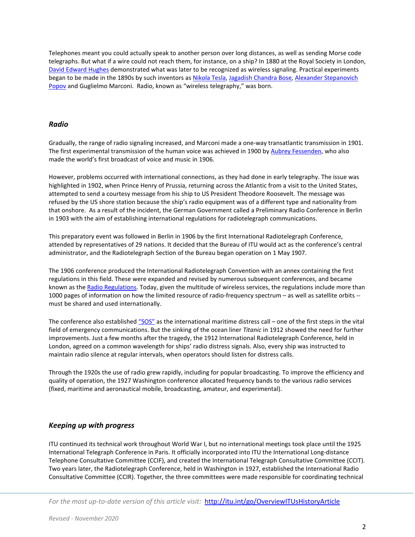Telephones meant you could actually speak to another person over long distances, as well as sending Morse code telegraphs. But what if a wire could not reach them, for instance, on a ship? In 1880 at the Royal Society in London, [David Edward Hughes](https://historicjournals.itu.int/idviewer/498/32) demonstrated what was later to be recognized as wireless signaling. Practical experiments began to be made in the 1890s by such inventors a[s Nikola Tesla,](https://historicjournals.itu.int/idviewer/468/32) [Jagadish Chandra Bose,](https://historicjournals.itu.int/idviewer/528/36) [Alexander Stepanovich](https://historicjournals.itu.int/idviewer/564/59)  [Popov](https://historicjournals.itu.int/idviewer/564/59) and Guglielmo Marconi. Radio, known as "wireless telegraphy," was born.

#### *Radio*

Gradually, the range of radio signaling increased, and Marconi made a one-way transatlantic transmission in 1901. The first experimental transmission of the human voice was achieved in 1900 b[y Aubrey Fessenden,](https://historicjournals.itu.int/idviewer/449/28) who also made the world's first broadcast of voice and music in 1906.

However, problems occurred with international connections, as they had done in early telegraphy. The issue was highlighted in 1902, when Prince Henry of Prussia, returning across the Atlantic from a visit to the United States, attempted to send a courtesy message from his ship to US President Theodore Roosevelt. The message was refused by the US shore station because the ship's radio equipment was of a different type and nationality from that onshore. As a result of the incident, the German Government called a Preliminary Radio Conference in Berlin in 1903 with the aim of establishing international regulations for radiotelegraph communications.

This preparatory event was followed in Berlin in 1906 by the first International Radiotelegraph Conference, attended by representatives of 29 nations. It decided that the Bureau of ITU would act as the conference's central administrator, and the Radiotelegraph Section of the Bureau began operation on 1 May 1907.

The 1906 conference produced the International Radiotelegraph Convention with an annex containing the first regulations in this field. These were expanded and revised by numerous subsequent conferences, and became known as th[e Radio Regulations.](http://handle.itu.int/11.1004/020.1000/12.27.57.en) Today, given the multitude of wireless services, the regulations include more than 1000 pages of information on how the limited resource of radio-frequency spectrum – as well as satellite orbits - must be shared and used internationally.

The conference also establishe[d "SOS"](https://historicjournals.itu.int/idviewer/465/36) as the international maritime distress call – one of the first steps in the vital field of emergency communications. But the sinking of the ocean liner *Titanic* in 1912 showed the need for further improvements. Just a few months after the tragedy, the 1912 International Radiotelegraph Conference, held in London, agreed on a common wavelength for ships' radio distress signals. Also, every ship was instructed to maintain radio silence at regular intervals, when operators should listen for distress calls.

Through the 1920s the use of radio grew rapidly, including for popular broadcasting. To improve the efficiency and quality of operation, the 1927 Washington conference allocated frequency bands to the various radio services (fixed, maritime and aeronautical mobile, broadcasting, amateur, and experimental).

#### *Keeping up with progress*

ITU continued its technical work throughout World War I, but no international meetings took place until the 1925 International Telegraph Conference in Paris. It officially incorporated into ITU the International Long-distance Telephone Consultative Committee (CCIF), and created the International Telegraph Consultative Committee (CCIT). Two years later, the Radiotelegraph Conference, held in Washington in 1927, established the International Radio Consultative Committee (CCIR). Together, the three committees were made responsible for coordinating technical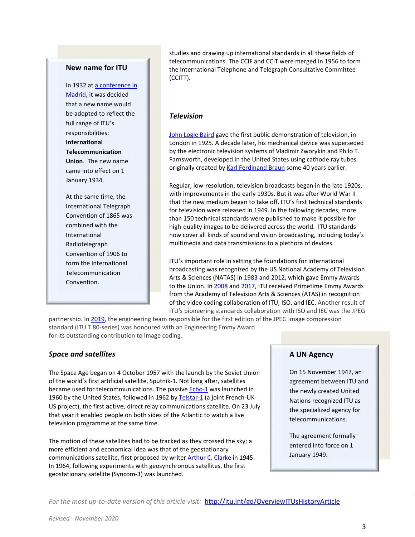#### **New name for ITU**

In 1932 at a conference in [Madrid,](http://handle.itu.int/11.1004/020.1000/4.5) it was decided that a new name would be adopted to reflect the full range of ITU's responsibilities: **International Telecommunication Union**. The new name came into effect on 1 January 1934.

At the same time, the International Telegraph Convention of 1865 was combined with the International Radiotelegraph Convention of 1906 to form the International Telecommunication Convention.

studies and drawing up international standards in all these fields of telecommunications. The CCIF and CCIT were merged in 1956 to form the International Telephone and Telegraph Consultative Committee (CCITT).

#### *Television*

[John Logie Baird](https://historicjournals.itu.int/idviewer/459/31) gave the first public demonstration of television, in London in 1925. A decade later, his mechanical device was superseded by the electronic television systems of Vladimir Zworykin and Philo T. Farnsworth, developed in the United States using cathode ray tubes originally created b[y Karl Ferdinand Braun](https://historicjournals.itu.int/idviewer/456/36) some 40 years earlier.

Regular, low-resolution, television broadcasts began in the late 1920s, with improvements in the early 1930s. But it was after World War II that the new medium began to take off. ITU's first technical standards for television were released in 1949. In the following decades, more than 150 technical standards were published to make it possible for high-quality images to be delivered across the world. ITU standards now cover all kinds of sound and vision broadcasting, including today's multimedia and data transmissions to a plethora of devices.

ITU's important role in setting the foundations for international broadcasting was recognized by the US National Academy of Television Arts & Sciences (NATAS) in [1983](https://historicjournals.itu.int/idviewer/486/24) and [2012,](https://historicjournals.itu.int/idviewer/629/88) which gave Emmy Awards to the Union. In [2008](https://historicjournals.itu.int/idviewer/531/7) and [2017,](http://news.itu.int/itu-iso-iec-receive-another-primetime-emmy-for-video-compression-video/) ITU received Primetime Emmy Awards from the Academy of Television Arts & Sciences (ATAS) in recognition of the video coding collaboration of ITU, ISO, and IEC. Another result of ITU's pioneering standards collaboration with ISO and IEC was the JPEG

partnership. In [2019,](https://news.itu.int/how-jpeg-gained-emmy-fame/) the engineering team responsible for the first edition of the JPEG image compression standard (ITU T.80-series) was honoured with an Engineering Emmy Award for its outstanding contribution to image coding.

#### *Space and satellites*

The Space Age began on 4 October 1957 with the launch by the Soviet Union of the world's first artificial satellite, Sputnik-1. Not long after, satellites became used for telecommunications. The passiv[e Echo-1](https://historicjournals.itu.int/idviewer/454/32) was launched in 1960 by the United States, followed in 1962 by [Telstar-1](https://historicjournals.itu.int/idviewer/454/32) (a joint French-UK-US project), the first active, direct relay communications satellite. On 23 July that year it enabled people on both sides of the Atlantic to watch a live television programme at the same time.

The motion of these satellites had to be tracked as they crossed the sky; a more efficient and economical idea was that of the geostationary communications satellite, first proposed by writer **Arthur C. Clarke** in 1945. In 1964, following experiments with geosynchronous satellites, the first geostationary satellite (Syncom-3) was launched.

#### **A UN Agency**

On 15 November 1947, an agreement between ITU and the newly created United Nations recognized ITU as the specialized agency for telecommunications.

The agreement formally entered into force on 1 January 1949.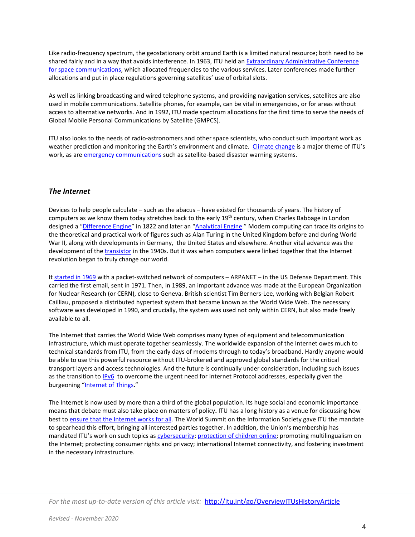Like radio-frequency spectrum, the geostationary orbit around Earth is a limited natural resource; both need to be shared fairly and in a way that avoids interference. In 1963, ITU held an Extraordinary [Administrative Conference](http://handle.itu.int/11.1004/020.1000/4.89)  [for space communications,](http://handle.itu.int/11.1004/020.1000/4.89) which allocated frequencies to the various services. Later conferences made further allocations and put in place regulations governing satellites' use of orbital slots.

As well as linking broadcasting and wired telephone systems, and providing navigation services, satellites are also used in mobile communications. Satellite phones, for example, can be vital in emergencies, or for areas without access to alternative networks. And in 1992, ITU made spectrum allocations for the first time to serve the needs of Global Mobile Personal Communications by Satellite (GMPCS).

ITU also looks to the needs of radio-astronomers and other space scientists, who conduct such important work as weather prediction and monitoring the Earth's environment and climate. [Climate change](http://www.itu.int/en/action/climate/Pages/default.aspx) is a major theme of ITU's work, as ar[e emergency communications](https://www.itu.int/en/mediacentre/backgrounders/Pages/emergency-telecommunications.aspx) such as satellite-based disaster warning systems.

#### *The Internet*

Devices to help people calculate – such as the abacus – have existed for thousands of years. The history of computers as we know them today stretches back to the early 19<sup>th</sup> century, when Charles Babbage in London designed a ["Difference Engine"](https://historicjournals.itu.int/idviewer/510/36) in 1822 and later an ["Analytical Engine."](https://historicjournals.itu.int/idviewer/513/31) Modern computing can trace its origins to the theoretical and practical work of figures such as Alan Turing in the United Kingdom before and during World War II, along with developments in Germany, the United States and elsewhere. Another vital advance was the development of the [transistor](https://historicjournals.itu.int/idviewer/501/48) in the 1940s. But it was when computers were linked together that the Internet revolution began to truly change our world.

It [started in 1969](https://historicjournals.itu.int/idviewer/567/36) with a packet-switched network of computers – ARPANET – in the US Defense Department. This carried the first email, sent in 1971. Then, in 1989, an important advance was made at the European Organization for Nuclear Research (or CERN), close to Geneva. British scientist Tim Berners-Lee, working with Belgian Robert Cailliau, proposed a distributed hypertext system that became known as the World Wide Web. The necessary software was developed in 1990, and crucially, the system was used not only within CERN, but also made freely available to all.

The Internet that carries the World Wide Web comprises many types of equipment and telecommunication infrastructure, which must operate together seamlessly. The worldwide expansion of the Internet owes much to technical standards from ITU, from the early days of modems through to today's broadband. Hardly anyone would be able to use this powerful resource without ITU-brokered and approved global standards for the critical transport layers and access technologies. And the future is continually under consideration, including such issues as the transition to **IPv6** to overcome the urgent need for Internet Protocol addresses, especially given the burgeoning ["Internet of Things.](http://www.itu.int/en/ITU-T/techwatch/Pages/internetofthings.aspx)"

The Internet is now used by more than a third of the global population. Its huge social and economic importance means that debate must also take place on matters of policy**.** ITU has a long history as a venue for discussing how best t[o ensure that the Internet works for all.](https://www.itu.int/en/action/internet/Pages/default.aspx) The World Summit on the Information Society gave ITU the mandate to spearhead this effort, bringing all interested parties together. In addition, the Union's membership has mandated ITU's work on such topics as *cybersecurity; [protection of children online;](http://www.itu.int/osg/csd/cybersecurity/gca/cop/) promoting multilingualism on* the Internet; protecting consumer rights and privacy; international Internet connectivity, and fostering investment in the necessary infrastructure.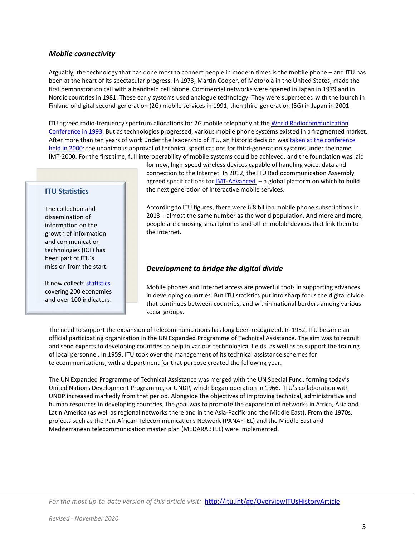#### *Mobile connectivity*

Arguably, the technology that has done most to connect people in modern times is the mobile phone – and ITU has been at the heart of its spectacular progress. In 1973, Martin Cooper, of Motorola in the United States, made the first demonstration call with a handheld cell phone. Commercial networks were opened in Japan in 1979 and in Nordic countries in 1981. These early systems used analogue technology. They were superseded with the launch in Finland of digital second-generation (2G) mobile services in 1991, then third-generation (3G) in Japan in 2001.

ITU agreed radio-frequency spectrum allocations for 2G mobile telephony at th[e World Radiocommunication](http://handle.itu.int/11.1004/020.1000/4.123)  [Conference in 1993.](http://handle.itu.int/11.1004/020.1000/4.123) But as technologies progressed, various mobile phone systems existed in a fragmented market. After more than ten years of work under the leadership of ITU, an historic decision wa[s taken at the conference](http://handle.itu.int/11.1004/020.1000/4.126)  [held in 2000:](http://handle.itu.int/11.1004/020.1000/4.126) the unanimous approval of technical specifications for third-generation systems under the name IMT-2000. For the first time, full interoperability of mobile systems could be achieved, and the foundation was laid

#### **ITU Statistics**

The collection and dissemination of information on the growth of information and communication technologies (ICT) has been part of ITU's mission from the start.

It now collects [statistics](http://www.itu.int/en/ITU-D/Statistics/Pages/default.aspx) covering 200 economies and over 100 indicators.

for new, high-speed wireless devices capable of handling voice, data and connection to the Internet. In 2012, the ITU Radiocommunication Assembly agreed specifications for  $IMT$ -Advanced – a global platform on which to build the next generation of interactive mobile services.

According to ITU figures, there were 6.8 billion mobile phone subscriptions in 2013 – almost the same number as the world population. And more and more, people are choosing smartphones and other mobile devices that link them to the Internet.

#### *Development to bridge the digital divide*

Mobile phones and Internet access are powerful tools in supporting advances in developing countries. But ITU statistics put into sharp focus the digital divide that continues between countries, and within national borders among various social groups.

The need to support the expansion of telecommunications has long been recognized. In 1952, ITU became an official participating organization in the UN Expanded Programme of Technical Assistance. The aim was to recruit and send experts to developing countries to help in various technological fields, as well as to support the training of local personnel. In 1959, ITU took over the management of its technical assistance schemes for telecommunications, with a department for that purpose created the following year.

The UN Expanded Programme of Technical Assistance was merged with the UN Special Fund, forming today's United Nations Development Programme, or UNDP, which began operation in 1966. ITU's collaboration with UNDP increased markedly from that period. Alongside the objectives of improving technical, administrative and human resources in developing countries, the goal was to promote the expansion of networks in Africa, Asia and Latin America (as well as regional networks there and in the Asia-Pacific and the Middle East). From the 1970s, projects such as the Pan-African Telecommunications Network (PANAFTEL) and the Middle East and Mediterranean telecommunication master plan (MEDARABTEL) were implemented.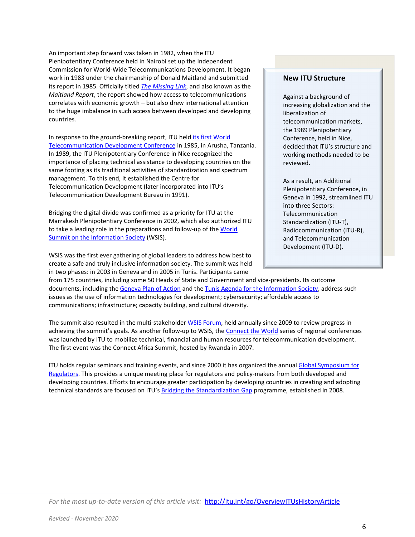An important step forward was taken in 1982, when the ITU Plenipotentiary Conference held in Nairobi set up the Independent Commission for World-Wide Telecommunications Development. It began work in 1983 under the chairmanship of Donald Maitland and submitted its report in 1985. Officially titled *[The Missing Link](http://www.itu.int/en/history/Pages/MaitlandReport.aspx)*, and also known as the *Maitland Report*, the report showed how access to telecommunications correlates with economic growth – but also drew international attention to the huge imbalance in such access between developed and developing countries.

In response to the ground-breaking report, ITU held its first World [Telecommunication Development Conference](http://handle.itu.int/11.1004/020.1000/4.136) in 1985, in Arusha, Tanzania. In 1989, the ITU Plenipotentiary Conference in Nice recognized the importance of placing technical assistance to developing countries on the same footing as its traditional activities of standardization and spectrum management. To this end, it established the Centre for Telecommunication Development (later incorporated into ITU's Telecommunication Development Bureau in 1991).

Bridging the digital divide was confirmed as a priority for ITU at the Marrakesh Plenipotentiary Conference in 2002, which also authorized ITU to take a leading role in the preparations and follow-up of the World [Summit on the Information Society](http://www.itu.int/wsis/index.html) (WSIS).

WSIS was the first ever gathering of global leaders to address how best to create a safe and truly inclusive information society. The summit was held in two phases: in 2003 in Geneva and in 2005 in Tunis. Participants came

#### **New ITU Structure**

Against a background of increasing globalization and the liberalization of telecommunication markets, the 1989 Plenipotentiary Conference, held in Nice, decided that ITU's structure and working methods needed to be reviewed.

As a result, an Additional Plenipotentiary Conference, in Geneva in 1992, streamlined ITU into three Sectors: **Telecommunication** Standardization (ITU-T), Radiocommunication (ITU-R), and Telecommunication Development (ITU-D).

from 175 countries, including some 50 Heads of State and Government and vice-presidents. Its outcome documents, including the [Geneva Plan of Action](http://www.itu.int/net/wsis/docs/geneva/official/poa.html) and the [Tunis Agenda for the Information Society,](http://www.itu.int/net/wsis/docs2/tunis/off/6rev1.html) address such issues as the use of information technologies for development; cybersecurity; affordable access to communications; infrastructure; capacity building, and cultural diversity.

The summit also resulted in the multi-stakeholder [WSIS Forum,](https://www.itu.int/en/itu-wsis/Pages/default.aspx) held annually since 2009 to review progress in achieving the summit's goals. As another follow-up to WSIS, the [Connect the World](http://www.itu.int/en/ITU-D/Conferences/connect/Pages/default.aspx) series of regional conferences was launched by ITU to mobilize technical, financial and human resources for telecommunication development. The first event was the Connect Africa Summit, hosted by Rwanda in 2007.

ITU holds regular seminars and training events, and since 2000 it has organized the annual Global Symposium for [Regulators.](http://www.itu.int/en/ITU-D/Conferences/GSR/Pages/GSR.aspx) This provides a unique meeting place for regulators and policy-makers from both developed and developing countries. Efforts to encourage greater participation by developing countries in creating and adopting technical standards are focused on ITU's [Bridging the Standardization Gap](http://www.itu.int/en/ITU-T/gap/Pages/default.aspx) programme, established in 2008.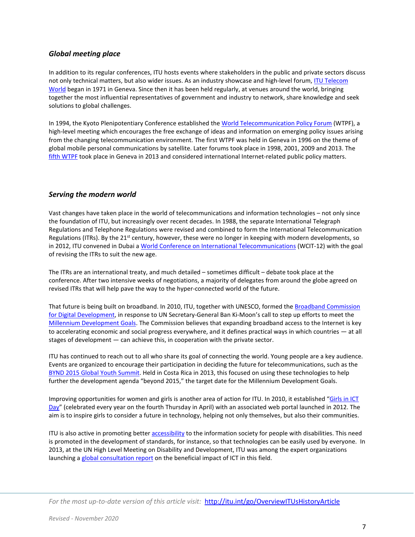#### *Global meeting place*

In addition to its regular conferences, ITU hosts events where stakeholders in the public and private sectors discuss not only technical matters, but also wider issues. As an industry showcase and high-level forum[, ITU Telecom](http://www.itu.int/en/itutelecom/Pages/default.aspx)  [World](http://www.itu.int/en/itutelecom/Pages/default.aspx) began in 1971 in Geneva. Since then it has been held regularly, at venues around the world, bringing together the most influential representatives of government and industry to network, share knowledge and seek solutions to global challenges.

In 1994, the Kyoto Plenipotentiary Conference established the [World Telecommunication Policy Forum](https://www.itu.int/en/wtpf-21/Pages/default.aspx) (WTPF), a high-level meeting which encourages the free exchange of ideas and information on emerging policy issues arising from the changing telecommunication environment. The first WTPF was held in Geneva in 1996 on the theme of global mobile personal communications by satellite. Later forums took place in 1998, 2001, 2009 and 2013. The [fifth WTPF](http://www.itu.int/en/wtpf-13/Pages/default.aspx) took place in Geneva in 2013 and considered international Internet-related public policy matters.

### *Serving the modern world*

Vast changes have taken place in the world of telecommunications and information technologies – not only since the foundation of ITU, but increasingly over recent decades. In 1988, the separate International Telegraph Regulations and Telephone Regulations were revised and combined to form the International Telecommunication Regulations (ITRs). By the 21<sup>st</sup> century, however, these were no longer in keeping with modern developments, so in 2012, ITU convened in Dubai a [World Conference on International Telecommunications](http://handle.itu.int/11.1004/020.1000/4.34) (WCIT-12) with the goal of revising the ITRs to suit the new age.

The ITRs are an international treaty, and much detailed – sometimes difficult – debate took place at the conference. After two intensive weeks of negotiations, a majority of delegates from around the globe agreed on revised ITRs that will help pave the way to the hyper-connected world of the future.

That future is being built on broadband. In 2010, ITU, together with UNESCO, formed the Broadband Commission for Digital [Development,](http://www.broadbandcommission.org/) in response to UN Secretary-General Ban Ki-Moon's call to step up efforts to meet the [Millennium Development Goals.](https://www.itu.int/en/ITU-D/Statistics/Pages/intlcoop/mdg/goals.aspx) The Commission believes that expanding broadband access to the Internet is key to accelerating economic and social progress everywhere, and it defines practical ways in which countries — at all stages of development — can achieve this, in cooperation with the private sector.

ITU has continued to reach out to all who share its goal of connecting the world. Young people are a key audience. Events are organized to encourage their participation in deciding the future for telecommunications, such as the [BYND 2015 Global Youth Summit.](http://www.itu.int/en/bynd2015/Pages/default.aspx) Held in Costa Rica in 2013, this focused on using these technologies to help further the development agenda "beyond 2015," the target date for the Millennium Development Goals.

Improving opportunities for women and girls is another area of action for ITU. In 2010, it established "Girls in ICT [Day"](https://www.itu.int/en/ITU-D/Digital-Inclusion/Women-and-Girls/Girls-in-ICT-Portal/Pages/Portal.aspx) (celebrated every year on the fourth Thursday in April) with an associated web portal launched in 2012. The aim is to inspire girls to consider a future in technology, helping not only themselves, but also their communities.

ITU is also active in promoting better [accessibility](http://www.itu.int/en/action/accessibility/Pages/default.aspx) to the information society for people with disabilities. This need is promoted in the development of standards, for instance, so that technologies can be easily used by everyone. In 2013, at the UN High Level Meeting on Disability and Development, ITU was among the expert organizations launching a [global consultation report](http://www.itu.int/en/action/accessibility/Pages/hlmdd2013.aspx) on the beneficial impact of ICT in this field.